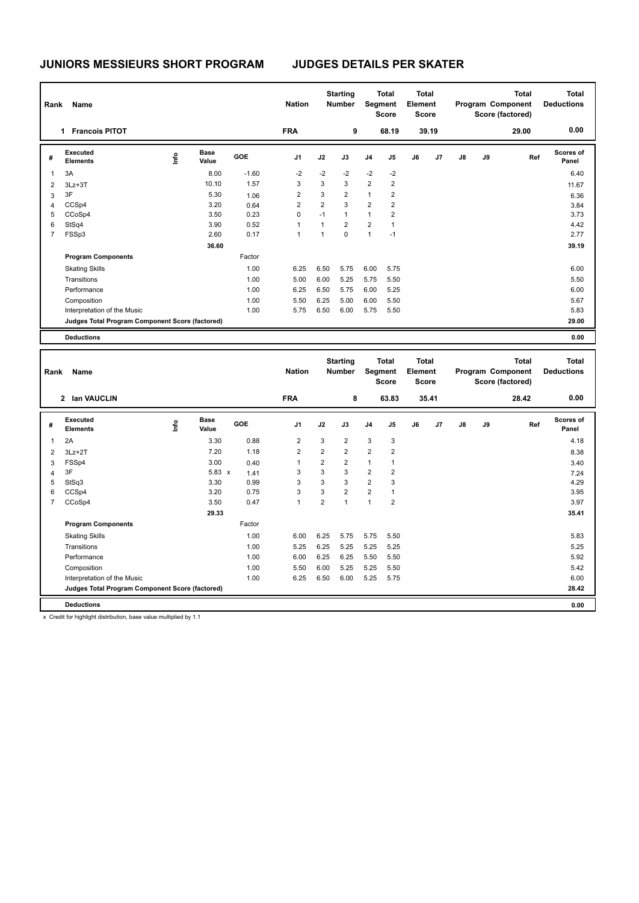| Rank           | Name                                            |    |                      |            | <b>Nation</b>  |                | <b>Starting</b><br><b>Number</b> | <b>Total</b><br>Segment<br><b>Score</b> |                | <b>Total</b><br>Element<br><b>Score</b> |       |               |    | Total<br>Program Component<br>Score (factored) | <b>Total</b><br><b>Deductions</b> |
|----------------|-------------------------------------------------|----|----------------------|------------|----------------|----------------|----------------------------------|-----------------------------------------|----------------|-----------------------------------------|-------|---------------|----|------------------------------------------------|-----------------------------------|
|                | <b>Francois PITOT</b><br>1.                     |    |                      |            | <b>FRA</b>     |                | 9                                |                                         | 68.19          |                                         | 39.19 |               |    | 29.00                                          | 0.00                              |
| #              | Executed<br><b>Elements</b>                     | ۴ů | <b>Base</b><br>Value | <b>GOE</b> | J <sub>1</sub> | J2             | J3                               | J <sub>4</sub>                          | J5             | J6                                      | J7    | $\mathsf{J}8$ | J9 | Ref                                            | <b>Scores of</b><br>Panel         |
| $\overline{1}$ | 3A                                              |    | 8.00                 | $-1.60$    | $-2$           | $-2$           | $-2$                             | $-2$                                    | $-2$           |                                         |       |               |    |                                                | 6.40                              |
| $\overline{2}$ | $3Lz + 3T$                                      |    | 10.10                | 1.57       | 3              | 3              | 3                                | 2                                       | 2              |                                         |       |               |    |                                                | 11.67                             |
| 3              | 3F                                              |    | 5.30                 | 1.06       | 2              | 3              | $\overline{2}$                   | $\mathbf{1}$                            | 2              |                                         |       |               |    |                                                | 6.36                              |
| $\overline{4}$ | CCSp4                                           |    | 3.20                 | 0.64       | $\overline{2}$ | $\overline{2}$ | 3                                | $\overline{2}$                          | $\overline{2}$ |                                         |       |               |    |                                                | 3.84                              |
| 5              | CCoSp4                                          |    | 3.50                 | 0.23       | 0              | $-1$           | $\mathbf{1}$                     | $\mathbf{1}$                            | $\overline{2}$ |                                         |       |               |    |                                                | 3.73                              |
| 6              | StSq4                                           |    | 3.90                 | 0.52       | $\overline{1}$ | 1              | $\overline{2}$                   | $\overline{2}$                          | 1              |                                         |       |               |    |                                                | 4.42                              |
| $\overline{7}$ | FSSp3                                           |    | 2.60                 | 0.17       | 1              | $\mathbf{1}$   | $\mathbf 0$                      | $\overline{1}$                          | $-1$           |                                         |       |               |    |                                                | 2.77                              |
|                |                                                 |    | 36.60                |            |                |                |                                  |                                         |                |                                         |       |               |    |                                                | 39.19                             |
|                | <b>Program Components</b>                       |    |                      | Factor     |                |                |                                  |                                         |                |                                         |       |               |    |                                                |                                   |
|                | <b>Skating Skills</b>                           |    |                      | 1.00       | 6.25           | 6.50           | 5.75                             | 6.00                                    | 5.75           |                                         |       |               |    |                                                | 6.00                              |
|                | Transitions                                     |    |                      | 1.00       | 5.00           | 6.00           | 5.25                             | 5.75                                    | 5.50           |                                         |       |               |    |                                                | 5.50                              |
|                | Performance                                     |    |                      | 1.00       | 6.25           | 6.50           | 5.75                             | 6.00                                    | 5.25           |                                         |       |               |    |                                                | 6.00                              |
|                | Composition                                     |    |                      | 1.00       | 5.50           | 6.25           | 5.00                             | 6.00                                    | 5.50           |                                         |       |               |    |                                                | 5.67                              |
|                | Interpretation of the Music                     |    |                      | 1.00       | 5.75           | 6.50           | 6.00                             | 5.75                                    | 5.50           |                                         |       |               |    |                                                | 5.83                              |
|                | Judges Total Program Component Score (factored) |    |                      |            |                |                |                                  |                                         |                |                                         |       |               |    |                                                | 29.00                             |
|                | <b>Deductions</b>                               |    |                      |            |                |                |                                  |                                         |                |                                         |       |               |    |                                                | 0.00                              |

|                | <b>Name</b><br>Rank                             |      |                      |            | <b>Starting</b><br><b>Nation</b><br><b>Number</b> |                | <b>Total</b><br>Segment<br><b>Score</b> |                | <b>Total</b><br>Element<br>Score |    |                |               | <b>Total</b><br>Program Component<br>Score (factored) | Total<br><b>Deductions</b> |                    |
|----------------|-------------------------------------------------|------|----------------------|------------|---------------------------------------------------|----------------|-----------------------------------------|----------------|----------------------------------|----|----------------|---------------|-------------------------------------------------------|----------------------------|--------------------|
|                | 2 Ian VAUCLIN                                   |      |                      |            | <b>FRA</b>                                        |                | 8                                       |                | 63.83                            |    | 35.41          |               |                                                       | 28.42                      | 0.00               |
| #              | Executed<br><b>Elements</b>                     | ١nf٥ | <b>Base</b><br>Value | <b>GOE</b> | J <sub>1</sub>                                    | J2             | J3                                      | J <sub>4</sub> | J <sub>5</sub>                   | J6 | J <sub>7</sub> | $\mathsf{J}8$ | J9                                                    | Ref                        | Scores of<br>Panel |
| $\overline{1}$ | 2A                                              |      | 3.30                 | 0.88       | $\overline{2}$                                    | 3              | $\overline{2}$                          | 3              | 3                                |    |                |               |                                                       |                            | 4.18               |
| 2              | $3Lz + 2T$                                      |      | 7.20                 | 1.18       | $\overline{2}$                                    | $\overline{2}$ | $\overline{2}$                          | $\overline{2}$ | $\overline{2}$                   |    |                |               |                                                       |                            | 8.38               |
| 3              | FSSp4                                           |      | 3.00                 | 0.40       | 1                                                 | $\overline{2}$ | $\overline{2}$                          | $\mathbf{1}$   | 1                                |    |                |               |                                                       |                            | 3.40               |
| 4              | 3F                                              |      | $5.83 \times$        | 1.41       | 3                                                 | 3              | 3                                       | $\overline{2}$ | $\overline{2}$                   |    |                |               |                                                       |                            | 7.24               |
| 5              | StSq3                                           |      | 3.30                 | 0.99       | 3                                                 | 3              | 3                                       | $\overline{2}$ | 3                                |    |                |               |                                                       |                            | 4.29               |
| 6              | CCSp4                                           |      | 3.20                 | 0.75       | 3                                                 | 3              | $\overline{2}$                          | $\overline{2}$ | $\mathbf{1}$                     |    |                |               |                                                       |                            | 3.95               |
| $\overline{7}$ | CCoSp4                                          |      | 3.50                 | 0.47       | $\mathbf{1}$                                      | $\overline{2}$ | 1                                       | $\overline{1}$ | $\overline{2}$                   |    |                |               |                                                       |                            | 3.97               |
|                |                                                 |      | 29.33                |            |                                                   |                |                                         |                |                                  |    |                |               |                                                       |                            | 35.41              |
|                | <b>Program Components</b>                       |      |                      | Factor     |                                                   |                |                                         |                |                                  |    |                |               |                                                       |                            |                    |
|                | <b>Skating Skills</b>                           |      |                      | 1.00       | 6.00                                              | 6.25           | 5.75                                    | 5.75           | 5.50                             |    |                |               |                                                       |                            | 5.83               |
|                | Transitions                                     |      |                      | 1.00       | 5.25                                              | 6.25           | 5.25                                    | 5.25           | 5.25                             |    |                |               |                                                       |                            | 5.25               |
|                | Performance                                     |      |                      | 1.00       | 6.00                                              | 6.25           | 6.25                                    | 5.50           | 5.50                             |    |                |               |                                                       |                            | 5.92               |
|                | Composition                                     |      |                      | 1.00       | 5.50                                              | 6.00           | 5.25                                    | 5.25           | 5.50                             |    |                |               |                                                       |                            | 5.42               |
|                | Interpretation of the Music                     |      |                      | 1.00       | 6.25                                              | 6.50           | 6.00                                    | 5.25           | 5.75                             |    |                |               |                                                       |                            | 6.00               |
|                | Judges Total Program Component Score (factored) |      |                      |            |                                                   |                |                                         |                |                                  |    |                |               |                                                       |                            | 28.42              |
|                | <b>Deductions</b>                               |      |                      |            |                                                   |                |                                         |                |                                  |    |                |               |                                                       |                            | 0.00               |

x Credit for highlight distribution, base value multiplied by 1.1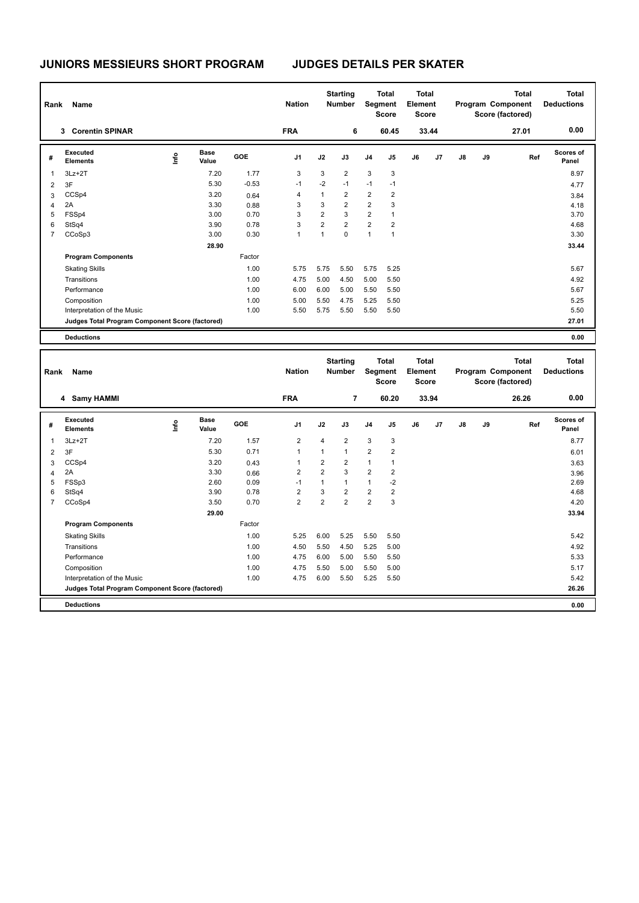| Name<br>Rank            |                                                 |      |                      |            | <b>Nation</b>  |                | <b>Starting</b><br><b>Number</b> |                | <b>Total</b><br>Segment<br><b>Score</b> | Total<br>Element<br><b>Score</b> |       |               |    | Total<br>Program Component<br>Score (factored) | <b>Total</b><br><b>Deductions</b> |
|-------------------------|-------------------------------------------------|------|----------------------|------------|----------------|----------------|----------------------------------|----------------|-----------------------------------------|----------------------------------|-------|---------------|----|------------------------------------------------|-----------------------------------|
|                         | <b>Corentin SPINAR</b><br>3                     |      |                      |            | <b>FRA</b>     |                | 6                                |                | 60.45                                   |                                  | 33.44 |               |    | 27.01                                          | 0.00                              |
| #                       | Executed<br><b>Elements</b>                     | lnfo | <b>Base</b><br>Value | <b>GOE</b> | J <sub>1</sub> | J2             | J3                               | J <sub>4</sub> | J <sub>5</sub>                          | J6                               | J7    | $\mathsf{J}8$ | J9 | Ref                                            | <b>Scores of</b><br>Panel         |
| $\overline{\mathbf{1}}$ | $3Lz + 2T$                                      |      | 7.20                 | 1.77       | 3              | 3              | $\overline{2}$                   | 3              | 3                                       |                                  |       |               |    |                                                | 8.97                              |
| $\overline{2}$          | 3F                                              |      | 5.30                 | $-0.53$    | $-1$           | $-2$           | $-1$                             | $-1$           | $-1$                                    |                                  |       |               |    |                                                | 4.77                              |
| 3                       | CCSp4                                           |      | 3.20                 | 0.64       | 4              | 1              | $\overline{2}$                   | $\overline{2}$ | $\overline{2}$                          |                                  |       |               |    |                                                | 3.84                              |
| 4                       | 2A                                              |      | 3.30                 | 0.88       | 3              | 3              | $\overline{2}$                   | $\overline{2}$ | 3                                       |                                  |       |               |    |                                                | 4.18                              |
| 5                       | FSSp4                                           |      | 3.00                 | 0.70       | 3              | 2              | 3                                | $\overline{2}$ | $\overline{1}$                          |                                  |       |               |    |                                                | 3.70                              |
| 6                       | StSq4                                           |      | 3.90                 | 0.78       | 3              | $\overline{2}$ | $\overline{2}$                   | $\overline{2}$ | $\overline{2}$                          |                                  |       |               |    |                                                | 4.68                              |
| $\overline{7}$          | CCoSp3                                          |      | 3.00                 | 0.30       | 1              | 1              | $\mathbf 0$                      | $\mathbf{1}$   | 1                                       |                                  |       |               |    |                                                | 3.30                              |
|                         |                                                 |      | 28.90                |            |                |                |                                  |                |                                         |                                  |       |               |    |                                                | 33.44                             |
|                         | <b>Program Components</b>                       |      |                      | Factor     |                |                |                                  |                |                                         |                                  |       |               |    |                                                |                                   |
|                         | <b>Skating Skills</b>                           |      |                      | 1.00       | 5.75           | 5.75           | 5.50                             | 5.75           | 5.25                                    |                                  |       |               |    |                                                | 5.67                              |
|                         | Transitions                                     |      |                      | 1.00       | 4.75           | 5.00           | 4.50                             | 5.00           | 5.50                                    |                                  |       |               |    |                                                | 4.92                              |
|                         | Performance                                     |      |                      | 1.00       | 6.00           | 6.00           | 5.00                             | 5.50           | 5.50                                    |                                  |       |               |    |                                                | 5.67                              |
|                         | Composition                                     |      |                      | 1.00       | 5.00           | 5.50           | 4.75                             | 5.25           | 5.50                                    |                                  |       |               |    |                                                | 5.25                              |
|                         | Interpretation of the Music                     |      |                      | 1.00       | 5.50           | 5.75           | 5.50                             | 5.50           | 5.50                                    |                                  |       |               |    |                                                | 5.50                              |
|                         | Judges Total Program Component Score (factored) |      |                      |            |                |                |                                  |                |                                         |                                  |       |               |    |                                                | 27.01                             |
|                         | <b>Deductions</b>                               |      |                      |            |                |                |                                  |                |                                         |                                  |       |               |    |                                                | 0.00                              |

| Rank | Name                                            |      |                      | <b>Nation</b> |                | <b>Starting</b><br><b>Total</b><br><b>Number</b><br>Segment<br><b>Score</b> |                |                | Total<br>Element<br><b>Score</b> |    | <b>Total</b><br>Program Component<br>Score (factored) |               |    | <b>Total</b><br><b>Deductions</b> |                    |
|------|-------------------------------------------------|------|----------------------|---------------|----------------|-----------------------------------------------------------------------------|----------------|----------------|----------------------------------|----|-------------------------------------------------------|---------------|----|-----------------------------------|--------------------|
|      | 4 Samy HAMMI                                    |      |                      |               | <b>FRA</b>     |                                                                             | $\overline{7}$ |                | 60.20                            |    | 33.94                                                 |               |    | 26.26                             | 0.00               |
| #    | Executed<br><b>Elements</b>                     | lnfo | <b>Base</b><br>Value | GOE           | J <sub>1</sub> | J2                                                                          | J3             | J <sub>4</sub> | J <sub>5</sub>                   | J6 | J7                                                    | $\mathsf{J}8$ | J9 | Ref                               | Scores of<br>Panel |
| 1    | $3Lz + 2T$                                      |      | 7.20                 | 1.57          | $\overline{2}$ | $\overline{4}$                                                              | $\overline{2}$ | 3              | 3                                |    |                                                       |               |    |                                   | 8.77               |
| 2    | 3F                                              |      | 5.30                 | 0.71          | 1              | 1                                                                           | $\overline{1}$ | $\overline{2}$ | $\overline{2}$                   |    |                                                       |               |    |                                   | 6.01               |
| 3    | CCSp4                                           |      | 3.20                 | 0.43          | 1              | $\overline{2}$                                                              | $\overline{2}$ | $\mathbf{1}$   | 1                                |    |                                                       |               |    |                                   | 3.63               |
| 4    | 2A                                              |      | 3.30                 | 0.66          | $\overline{2}$ | $\overline{2}$                                                              | 3              | $\overline{2}$ | $\overline{2}$                   |    |                                                       |               |    |                                   | 3.96               |
| 5    | FSSp3                                           |      | 2.60                 | 0.09          | $-1$           | 1                                                                           | 1              | $\mathbf{1}$   | $-2$                             |    |                                                       |               |    |                                   | 2.69               |
| 6    | StSq4                                           |      | 3.90                 | 0.78          | $\overline{2}$ | 3                                                                           | $\overline{2}$ | $\overline{2}$ | $\overline{2}$                   |    |                                                       |               |    |                                   | 4.68               |
| 7    | CCoSp4                                          |      | 3.50                 | 0.70          | $\overline{2}$ | $\overline{2}$                                                              | 2              | $\overline{2}$ | 3                                |    |                                                       |               |    |                                   | 4.20               |
|      |                                                 |      | 29.00                |               |                |                                                                             |                |                |                                  |    |                                                       |               |    |                                   | 33.94              |
|      | <b>Program Components</b>                       |      |                      | Factor        |                |                                                                             |                |                |                                  |    |                                                       |               |    |                                   |                    |
|      | <b>Skating Skills</b>                           |      |                      | 1.00          | 5.25           | 6.00                                                                        | 5.25           | 5.50           | 5.50                             |    |                                                       |               |    |                                   | 5.42               |
|      | Transitions                                     |      |                      | 1.00          | 4.50           | 5.50                                                                        | 4.50           | 5.25           | 5.00                             |    |                                                       |               |    |                                   | 4.92               |
|      | Performance                                     |      |                      | 1.00          | 4.75           | 6.00                                                                        | 5.00           | 5.50           | 5.50                             |    |                                                       |               |    |                                   | 5.33               |
|      | Composition                                     |      |                      | 1.00          | 4.75           | 5.50                                                                        | 5.00           | 5.50           | 5.00                             |    |                                                       |               |    |                                   | 5.17               |
|      | Interpretation of the Music                     |      |                      | 1.00          | 4.75           | 6.00                                                                        | 5.50           | 5.25           | 5.50                             |    |                                                       |               |    |                                   | 5.42               |
|      | Judges Total Program Component Score (factored) |      |                      |               |                |                                                                             |                |                |                                  |    |                                                       |               |    |                                   | 26.26              |
|      | <b>Deductions</b>                               |      |                      |               |                |                                                                             |                |                |                                  |    |                                                       |               |    |                                   | 0.00               |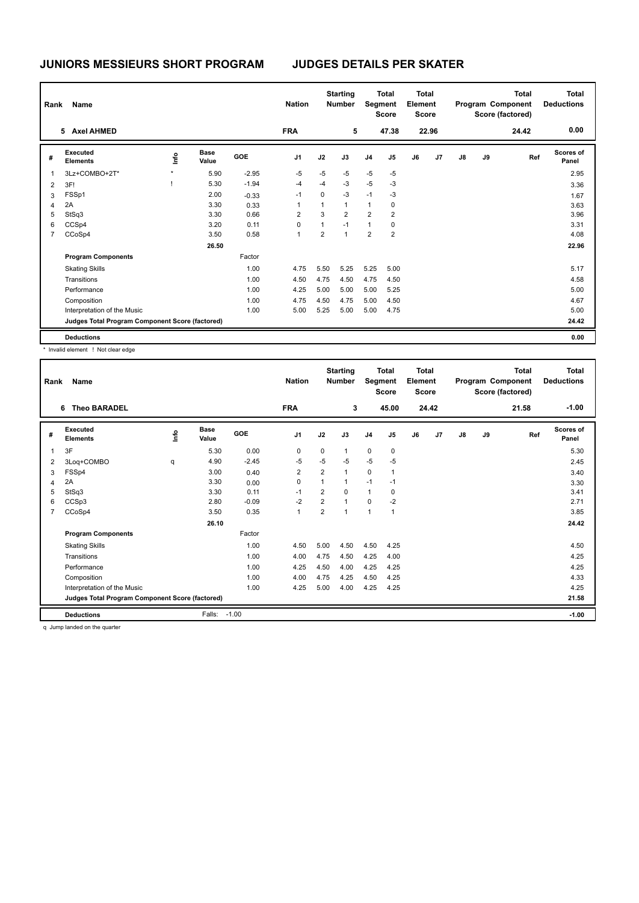|                | Name<br>Rank                                    |         |                      |            | <b>Nation</b>  |              | <b>Starting</b><br><b>Total</b><br>Segment<br><b>Number</b><br><b>Score</b> |                | <b>Total</b><br>Element<br><b>Score</b> |    |       |    | <b>Total</b><br>Program Component<br>Score (factored) | <b>Total</b><br><b>Deductions</b> |                           |
|----------------|-------------------------------------------------|---------|----------------------|------------|----------------|--------------|-----------------------------------------------------------------------------|----------------|-----------------------------------------|----|-------|----|-------------------------------------------------------|-----------------------------------|---------------------------|
|                | <b>Axel AHMED</b><br>5                          |         |                      |            | <b>FRA</b>     |              | 5                                                                           |                | 47.38                                   |    | 22.96 |    |                                                       | 24.42                             | 0.00                      |
| #              | Executed<br><b>Elements</b>                     | lnfo    | <b>Base</b><br>Value | <b>GOE</b> | J <sub>1</sub> | J2           | J3                                                                          | J <sub>4</sub> | J5                                      | J6 | J7    | J8 | J9                                                    | Ref                               | <b>Scores of</b><br>Panel |
| 1              | 3Lz+COMBO+2T*                                   | $\star$ | 5.90                 | $-2.95$    | $-5$           | $-5$         | $-5$                                                                        | $-5$           | $-5$                                    |    |       |    |                                                       |                                   | 2.95                      |
| 2              | 3F!                                             |         | 5.30                 | $-1.94$    | $-4$           | $-4$         | $-3$                                                                        | $-5$           | $-3$                                    |    |       |    |                                                       |                                   | 3.36                      |
| 3              | FSSp1                                           |         | 2.00                 | $-0.33$    | $-1$           | 0            | $-3$                                                                        | $-1$           | $-3$                                    |    |       |    |                                                       |                                   | 1.67                      |
| 4              | 2A                                              |         | 3.30                 | 0.33       |                | 1            | $\mathbf{1}$                                                                | $\mathbf{1}$   | 0                                       |    |       |    |                                                       |                                   | 3.63                      |
| 5              | StSq3                                           |         | 3.30                 | 0.66       | $\overline{2}$ | 3            | $\overline{2}$                                                              | $\overline{2}$ | $\overline{2}$                          |    |       |    |                                                       |                                   | 3.96                      |
| 6              | CCSp4                                           |         | 3.20                 | 0.11       | 0              | $\mathbf{1}$ | $-1$                                                                        | $\mathbf{1}$   | 0                                       |    |       |    |                                                       |                                   | 3.31                      |
| $\overline{7}$ | CCoSp4                                          |         | 3.50                 | 0.58       | 1              | 2            | $\overline{1}$                                                              | $\overline{2}$ | $\overline{2}$                          |    |       |    |                                                       |                                   | 4.08                      |
|                |                                                 |         | 26.50                |            |                |              |                                                                             |                |                                         |    |       |    |                                                       |                                   | 22.96                     |
|                | <b>Program Components</b>                       |         |                      | Factor     |                |              |                                                                             |                |                                         |    |       |    |                                                       |                                   |                           |
|                | <b>Skating Skills</b>                           |         |                      | 1.00       | 4.75           | 5.50         | 5.25                                                                        | 5.25           | 5.00                                    |    |       |    |                                                       |                                   | 5.17                      |
|                | Transitions                                     |         |                      | 1.00       | 4.50           | 4.75         | 4.50                                                                        | 4.75           | 4.50                                    |    |       |    |                                                       |                                   | 4.58                      |
|                | Performance                                     |         |                      | 1.00       | 4.25           | 5.00         | 5.00                                                                        | 5.00           | 5.25                                    |    |       |    |                                                       |                                   | 5.00                      |
|                | Composition                                     |         |                      | 1.00       | 4.75           | 4.50         | 4.75                                                                        | 5.00           | 4.50                                    |    |       |    |                                                       |                                   | 4.67                      |
|                | Interpretation of the Music                     |         |                      | 1.00       | 5.00           | 5.25         | 5.00                                                                        | 5.00           | 4.75                                    |    |       |    |                                                       |                                   | 5.00                      |
|                | Judges Total Program Component Score (factored) |         |                      |            |                |              |                                                                             |                |                                         |    |       |    |                                                       |                                   | 24.42                     |
|                | <b>Deductions</b>                               |         |                      |            |                |              |                                                                             |                |                                         |    |       |    |                                                       |                                   | 0.00                      |

\* Invalid element ! Not clear edge

|                | Name<br>Rank<br><b>Theo BARADEL</b><br>6        |      |                      |         | <b>Nation</b><br><b>FRA</b> |                | <b>Starting</b><br><b>Number</b><br>3 |                | <b>Total</b><br>Segment<br><b>Score</b><br>45.00 | <b>Total</b><br>Element<br><b>Score</b> | 24.42          |               |    | <b>Total</b><br>Program Component<br>Score (factored)<br>21.58 | <b>Total</b><br><b>Deductions</b><br>$-1.00$ |
|----------------|-------------------------------------------------|------|----------------------|---------|-----------------------------|----------------|---------------------------------------|----------------|--------------------------------------------------|-----------------------------------------|----------------|---------------|----|----------------------------------------------------------------|----------------------------------------------|
|                |                                                 |      |                      |         |                             |                |                                       |                |                                                  |                                         |                |               |    |                                                                |                                              |
| #              | Executed<br><b>Elements</b>                     | ١mfo | <b>Base</b><br>Value | GOE     | J <sub>1</sub>              | J2             | J3                                    | J <sub>4</sub> | J5                                               | J6                                      | J <sub>7</sub> | $\mathsf{J}8$ | J9 | Ref                                                            | Scores of<br>Panel                           |
| 1              | 3F                                              |      | 5.30                 | 0.00    | 0                           | $\mathbf 0$    | 1                                     | $\pmb{0}$      | $\pmb{0}$                                        |                                         |                |               |    |                                                                | 5.30                                         |
| 2              | 3Loq+COMBO                                      | q    | 4.90                 | $-2.45$ | $-5$                        | $-5$           | $-5$                                  | $-5$           | $-5$                                             |                                         |                |               |    |                                                                | 2.45                                         |
| 3              | FSSp4                                           |      | 3.00                 | 0.40    | $\overline{2}$              | $\overline{2}$ | $\mathbf{1}$                          | $\pmb{0}$      | $\mathbf 1$                                      |                                         |                |               |    |                                                                | 3.40                                         |
| 4              | 2A                                              |      | 3.30                 | 0.00    | $\mathbf 0$                 | 1              | 1                                     | $-1$           | $-1$                                             |                                         |                |               |    |                                                                | 3.30                                         |
| 5              | StSq3                                           |      | 3.30                 | 0.11    | $-1$                        | $\overline{2}$ | 0                                     | $\mathbf{1}$   | 0                                                |                                         |                |               |    |                                                                | 3.41                                         |
| 6              | CCSp3                                           |      | 2.80                 | $-0.09$ | $-2$                        | $\overline{2}$ | 1                                     | $\mathbf 0$    | $-2$                                             |                                         |                |               |    |                                                                | 2.71                                         |
| $\overline{7}$ | CCoSp4                                          |      | 3.50                 | 0.35    | $\mathbf{1}$                | $\overline{2}$ | 1                                     | $\overline{1}$ | $\overline{1}$                                   |                                         |                |               |    |                                                                | 3.85                                         |
|                |                                                 |      | 26.10                |         |                             |                |                                       |                |                                                  |                                         |                |               |    |                                                                | 24.42                                        |
|                | <b>Program Components</b>                       |      |                      | Factor  |                             |                |                                       |                |                                                  |                                         |                |               |    |                                                                |                                              |
|                | <b>Skating Skills</b>                           |      |                      | 1.00    | 4.50                        | 5.00           | 4.50                                  | 4.50           | 4.25                                             |                                         |                |               |    |                                                                | 4.50                                         |
|                | Transitions                                     |      |                      | 1.00    | 4.00                        | 4.75           | 4.50                                  | 4.25           | 4.00                                             |                                         |                |               |    |                                                                | 4.25                                         |
|                | Performance                                     |      |                      | 1.00    | 4.25                        | 4.50           | 4.00                                  | 4.25           | 4.25                                             |                                         |                |               |    |                                                                | 4.25                                         |
|                | Composition                                     |      |                      | 1.00    | 4.00                        | 4.75           | 4.25                                  | 4.50           | 4.25                                             |                                         |                |               |    |                                                                | 4.33                                         |
|                | Interpretation of the Music                     |      |                      | 1.00    | 4.25                        | 5.00           | 4.00                                  | 4.25           | 4.25                                             |                                         |                |               |    |                                                                | 4.25                                         |
|                | Judges Total Program Component Score (factored) |      |                      |         |                             |                |                                       |                |                                                  |                                         |                |               |    |                                                                | 21.58                                        |
|                | <b>Deductions</b>                               |      | Falls:               | $-1.00$ |                             |                |                                       |                |                                                  |                                         |                |               |    |                                                                | $-1.00$                                      |
|                | .                                               |      |                      |         |                             |                |                                       |                |                                                  |                                         |                |               |    |                                                                |                                              |

q Jump landed on the quarter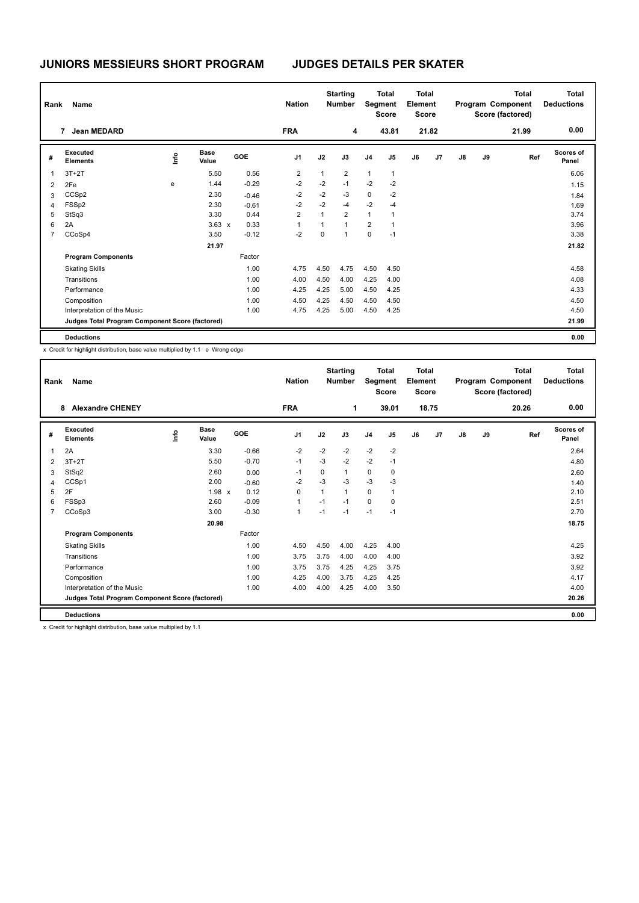| Rank | Name                                            |      |                      |            | <b>Nation</b>  |             | <b>Starting</b><br><b>Number</b> |                | <b>Total</b><br>Segment<br><b>Score</b> |    | <b>Total</b><br>Element<br><b>Score</b> |               |    | <b>Total</b><br>Program Component<br>Score (factored) | <b>Total</b><br><b>Deductions</b> |
|------|-------------------------------------------------|------|----------------------|------------|----------------|-------------|----------------------------------|----------------|-----------------------------------------|----|-----------------------------------------|---------------|----|-------------------------------------------------------|-----------------------------------|
|      | <b>Jean MEDARD</b><br>7                         |      |                      |            | <b>FRA</b>     |             | 4                                |                | 43.81                                   |    | 21.82                                   |               |    | 21.99                                                 | 0.00                              |
| #    | Executed<br><b>Elements</b>                     | lnfo | <b>Base</b><br>Value | <b>GOE</b> | J <sub>1</sub> | J2          | J3                               | J <sub>4</sub> | J <sub>5</sub>                          | J6 | J7                                      | $\mathsf{J}8$ | J9 | Ref                                                   | <b>Scores of</b><br>Panel         |
| 1    | $3T+2T$                                         |      | 5.50                 | 0.56       | $\overline{c}$ | 1           | $\overline{2}$                   | $\mathbf{1}$   | 1                                       |    |                                         |               |    |                                                       | 6.06                              |
| 2    | 2Fe                                             | e    | 1.44                 | $-0.29$    | $-2$           | $-2$        | $-1$                             | $-2$           | $-2$                                    |    |                                         |               |    |                                                       | 1.15                              |
| 3    | CCS <sub>p2</sub>                               |      | 2.30                 | $-0.46$    | $-2$           | $-2$        | $-3$                             | 0              | $-2$                                    |    |                                         |               |    |                                                       | 1.84                              |
| 4    | FSS <sub>p2</sub>                               |      | 2.30                 | $-0.61$    | $-2$           | $-2$        | $-4$                             | $-2$           | $-4$                                    |    |                                         |               |    |                                                       | 1.69                              |
| 5    | StSq3                                           |      | 3.30                 | 0.44       | $\overline{2}$ | 1           | $\overline{2}$                   | $\mathbf{1}$   | 1                                       |    |                                         |               |    |                                                       | 3.74                              |
| 6    | 2A                                              |      | $3.63 \times$        | 0.33       |                | 1           | $\overline{1}$                   | $\overline{2}$ | $\mathbf{1}$                            |    |                                         |               |    |                                                       | 3.96                              |
| 7    | CCoSp4                                          |      | 3.50                 | $-0.12$    | $-2$           | $\mathbf 0$ | 1                                | 0              | $-1$                                    |    |                                         |               |    |                                                       | 3.38                              |
|      |                                                 |      | 21.97                |            |                |             |                                  |                |                                         |    |                                         |               |    |                                                       | 21.82                             |
|      | <b>Program Components</b>                       |      |                      | Factor     |                |             |                                  |                |                                         |    |                                         |               |    |                                                       |                                   |
|      | <b>Skating Skills</b>                           |      |                      | 1.00       | 4.75           | 4.50        | 4.75                             | 4.50           | 4.50                                    |    |                                         |               |    |                                                       | 4.58                              |
|      | Transitions                                     |      |                      | 1.00       | 4.00           | 4.50        | 4.00                             | 4.25           | 4.00                                    |    |                                         |               |    |                                                       | 4.08                              |
|      | Performance                                     |      |                      | 1.00       | 4.25           | 4.25        | 5.00                             | 4.50           | 4.25                                    |    |                                         |               |    |                                                       | 4.33                              |
|      | Composition                                     |      |                      | 1.00       | 4.50           | 4.25        | 4.50                             | 4.50           | 4.50                                    |    |                                         |               |    |                                                       | 4.50                              |
|      | Interpretation of the Music                     |      |                      | 1.00       | 4.75           | 4.25        | 5.00                             | 4.50           | 4.25                                    |    |                                         |               |    |                                                       | 4.50                              |
|      | Judges Total Program Component Score (factored) |      |                      |            |                |             |                                  |                |                                         |    |                                         |               |    |                                                       | 21.99                             |
|      | <b>Deductions</b>                               |      |                      |            |                |             |                                  |                |                                         |    |                                         |               |    |                                                       | 0.00                              |

x Credit for highlight distribution, base value multiplied by 1.1 e Wrong edge

| Rank           | Name                                            |      |                      |            | <b>Nation</b>  |      | <b>Starting</b><br><b>Total</b><br>Segment<br><b>Number</b><br><b>Score</b> |                | <b>Total</b><br>Element<br><b>Score</b> |    | Program Component |               | <b>Total</b><br>Score (factored) | <b>Total</b><br><b>Deductions</b> |                    |
|----------------|-------------------------------------------------|------|----------------------|------------|----------------|------|-----------------------------------------------------------------------------|----------------|-----------------------------------------|----|-------------------|---------------|----------------------------------|-----------------------------------|--------------------|
|                | <b>Alexandre CHENEY</b><br>8                    |      |                      |            | <b>FRA</b>     |      | 1                                                                           |                | 39.01                                   |    | 18.75             |               |                                  | 20.26                             | 0.00               |
| #              | Executed<br><b>Elements</b>                     | ١mfo | <b>Base</b><br>Value | <b>GOE</b> | J <sub>1</sub> | J2   | J3                                                                          | J <sub>4</sub> | J <sub>5</sub>                          | J6 | J7                | $\mathsf{J}8$ | J9                               | Ref                               | Scores of<br>Panel |
| 1              | 2A                                              |      | 3.30                 | $-0.66$    | $-2$           | $-2$ | $-2$                                                                        | $-2$           | $-2$                                    |    |                   |               |                                  |                                   | 2.64               |
| $\overline{2}$ | $3T+2T$                                         |      | 5.50                 | $-0.70$    | $-1$           | $-3$ | $-2$                                                                        | $-2$           | $-1$                                    |    |                   |               |                                  |                                   | 4.80               |
| 3              | StSq2                                           |      | 2.60                 | 0.00       | -1             | 0    | $\mathbf{1}$                                                                | $\mathbf 0$    | 0                                       |    |                   |               |                                  |                                   | 2.60               |
| 4              | CCSp1                                           |      | 2.00                 | $-0.60$    | $-2$           | $-3$ | $-3$                                                                        | $-3$           | $-3$                                    |    |                   |               |                                  |                                   | 1.40               |
| 5              | 2F                                              |      | $1.98 \times$        | 0.12       | $\Omega$       |      | $\mathbf{1}$                                                                | $\Omega$       | 1                                       |    |                   |               |                                  |                                   | 2.10               |
| 6              | FSSp3                                           |      | 2.60                 | $-0.09$    | $\mathbf{1}$   | $-1$ | $-1$                                                                        | $\mathbf 0$    | $\mathbf 0$                             |    |                   |               |                                  |                                   | 2.51               |
| $\overline{7}$ | CCoSp3                                          |      | 3.00                 | $-0.30$    | $\overline{1}$ | $-1$ | $-1$                                                                        | $-1$           | $-1$                                    |    |                   |               |                                  |                                   | 2.70               |
|                |                                                 |      | 20.98                |            |                |      |                                                                             |                |                                         |    |                   |               |                                  |                                   | 18.75              |
|                | <b>Program Components</b>                       |      |                      | Factor     |                |      |                                                                             |                |                                         |    |                   |               |                                  |                                   |                    |
|                | <b>Skating Skills</b>                           |      |                      | 1.00       | 4.50           | 4.50 | 4.00                                                                        | 4.25           | 4.00                                    |    |                   |               |                                  |                                   | 4.25               |
|                | Transitions                                     |      |                      | 1.00       | 3.75           | 3.75 | 4.00                                                                        | 4.00           | 4.00                                    |    |                   |               |                                  |                                   | 3.92               |
|                | Performance                                     |      |                      | 1.00       | 3.75           | 3.75 | 4.25                                                                        | 4.25           | 3.75                                    |    |                   |               |                                  |                                   | 3.92               |
|                | Composition                                     |      |                      | 1.00       | 4.25           | 4.00 | 3.75                                                                        | 4.25           | 4.25                                    |    |                   |               |                                  |                                   | 4.17               |
|                | Interpretation of the Music                     |      |                      | 1.00       | 4.00           | 4.00 | 4.25                                                                        | 4.00           | 3.50                                    |    |                   |               |                                  |                                   | 4.00               |
|                | Judges Total Program Component Score (factored) |      |                      |            |                |      |                                                                             |                |                                         |    |                   |               |                                  |                                   | 20.26              |
|                | <b>Deductions</b>                               |      |                      |            |                |      |                                                                             |                |                                         |    |                   |               |                                  |                                   | 0.00               |

x Credit for highlight distribution, base value multiplied by 1.1